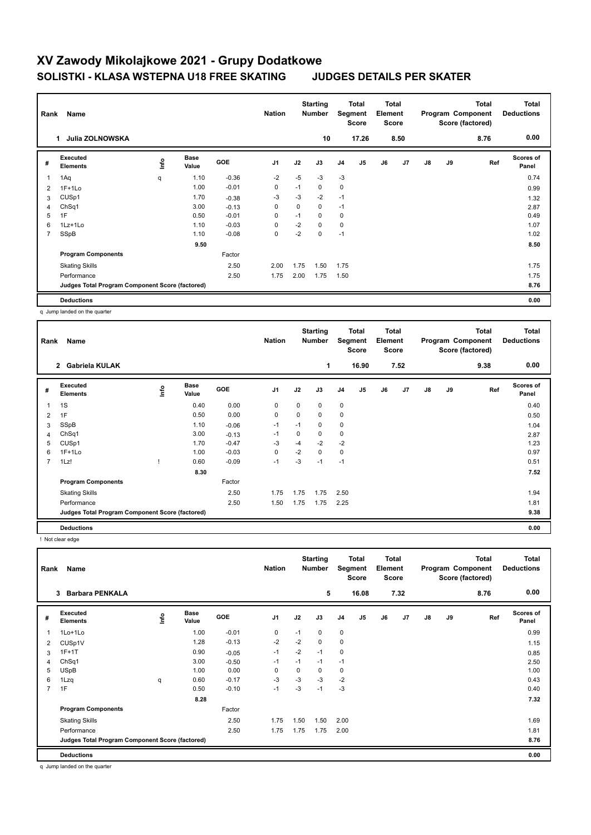### **Total Program Component Deductions Total Score (factored) Total Element Segment Score Total Score Starting Rank Name Nation Number Executed Elements Base Value GOE J1 J2 J3 J4 J5 J6 J7 J8 J9 Scores of Panel** 1 1.10 -0.36 -2 -5 -3 -3 **Ref**  1Aq q 0.74 **Info 1 Julia ZOLNOWSKA 10 17.26 8.50 8.76 0.00** 2 1F+1Lo 1.00 -0.01 0 -1 0 0 0.99 3 CUSp1 1.70 -0.38 -3 -3 -2 -1 1.32 4 ChSq1 3.00 -0.13 0 0 0 -1 2.87 5 1F 0.50 -0.01 0 -1 0 0 0.49 6 1Lz+1Lo 1.10 -0.03 0 -2 0 0 1.07 7 SSpB 1.10 -0.08 0 -2 0 -1 1.02  **9.50 8.50 Program Components**  Skating Skills 2.00 1.75 1.50 1.75 2.50 1.75 Factor Performance 2.50 1.75 2.00 1.75 1.50 1.75 **Deductions 0.00 Judges Total Program Component Score (factored) 8.76**

q Jump landed on the quarter

**#** 

| Rank           | Name                                            |      |                      |            | <b>Nation</b>  |             | <b>Starting</b><br><b>Number</b> |                | <b>Total</b><br>Segment<br><b>Score</b> | <b>Total</b><br>Element<br><b>Score</b> |                |    |    | <b>Total</b><br>Program Component<br>Score (factored) | <b>Total</b><br><b>Deductions</b> |
|----------------|-------------------------------------------------|------|----------------------|------------|----------------|-------------|----------------------------------|----------------|-----------------------------------------|-----------------------------------------|----------------|----|----|-------------------------------------------------------|-----------------------------------|
|                | 2 Gabriela KULAK                                |      |                      |            |                |             | $\mathbf{1}$                     |                | 16.90                                   |                                         | 7.52           |    |    | 9.38                                                  | 0.00                              |
| #              | Executed<br><b>Elements</b>                     | lnfo | <b>Base</b><br>Value | <b>GOE</b> | J <sub>1</sub> | J2          | J3                               | J <sub>4</sub> | J5                                      | J6                                      | J <sub>7</sub> | J8 | J9 | Ref                                                   | <b>Scores of</b><br>Panel         |
| 1              | 1S                                              |      | 0.40                 | 0.00       | 0              | $\mathbf 0$ | $\mathbf 0$                      | $\mathbf 0$    |                                         |                                         |                |    |    |                                                       | 0.40                              |
| 2              | 1F                                              |      | 0.50                 | 0.00       | $\mathbf 0$    | $\Omega$    | 0                                | $\mathbf 0$    |                                         |                                         |                |    |    |                                                       | 0.50                              |
| 3              | SSpB                                            |      | 1.10                 | $-0.06$    | $-1$           | $-1$        | 0                                | 0              |                                         |                                         |                |    |    |                                                       | 1.04                              |
| 4              | ChSq1                                           |      | 3.00                 | $-0.13$    | $-1$           | 0           | 0                                | 0              |                                         |                                         |                |    |    |                                                       | 2.87                              |
| 5              | CUSp1                                           |      | 1.70                 | $-0.47$    | -3             | $-4$        | $-2$                             | $-2$           |                                         |                                         |                |    |    |                                                       | 1.23                              |
| 6              | $1F+1Lo$                                        |      | 1.00                 | $-0.03$    | $\mathbf 0$    | $-2$        | 0                                | $\pmb{0}$      |                                         |                                         |                |    |    |                                                       | 0.97                              |
| $\overline{7}$ | 1Lz!                                            |      | 0.60                 | $-0.09$    | $-1$           | $-3$        | $-1$                             | $-1$           |                                         |                                         |                |    |    |                                                       | 0.51                              |
|                |                                                 |      | 8.30                 |            |                |             |                                  |                |                                         |                                         |                |    |    |                                                       | 7.52                              |
|                | <b>Program Components</b>                       |      |                      | Factor     |                |             |                                  |                |                                         |                                         |                |    |    |                                                       |                                   |
|                | <b>Skating Skills</b>                           |      |                      | 2.50       | 1.75           | 1.75        | 1.75                             | 2.50           |                                         |                                         |                |    |    |                                                       | 1.94                              |
|                | Performance                                     |      |                      | 2.50       | 1.50           | 1.75        | 1.75                             | 2.25           |                                         |                                         |                |    |    |                                                       | 1.81                              |
|                | Judges Total Program Component Score (factored) |      |                      |            |                |             |                                  |                |                                         |                                         |                |    |    |                                                       | 9.38                              |
|                | <b>Deductions</b>                               |      |                      |            |                |             |                                  |                |                                         |                                         |                |    |    |                                                       | 0.00                              |

! Not clear edge

| Name<br>Rank   |                                                 |   |                      | <b>Nation</b> |                | <b>Starting</b><br><b>Number</b> |      | Total<br>Segment<br><b>Score</b> |       | <b>Total</b><br>Element<br><b>Score</b> |      |               | <b>Total</b><br>Program Component<br>Score (factored) | <b>Total</b><br><b>Deductions</b> |                           |
|----------------|-------------------------------------------------|---|----------------------|---------------|----------------|----------------------------------|------|----------------------------------|-------|-----------------------------------------|------|---------------|-------------------------------------------------------|-----------------------------------|---------------------------|
|                | <b>Barbara PENKALA</b><br>3                     |   |                      |               |                |                                  | 5    |                                  | 16.08 |                                         | 7.32 |               |                                                       | 8.76                              | 0.00                      |
| #              | Executed<br><b>Elements</b>                     | ۴ | <b>Base</b><br>Value | <b>GOE</b>    | J <sub>1</sub> | J2                               | J3   | J4                               | J5    | J6                                      | J7   | $\mathsf{J}8$ | J9                                                    | Ref                               | <b>Scores of</b><br>Panel |
|                | 1Lo+1Lo                                         |   | 1.00                 | $-0.01$       | 0              | $-1$                             | 0    | $\mathbf 0$                      |       |                                         |      |               |                                                       |                                   | 0.99                      |
| 2              | CUSp1V                                          |   | 1.28                 | $-0.13$       | $-2$           | $-2$                             | 0    | 0                                |       |                                         |      |               |                                                       |                                   | 1.15                      |
| 3              | $1F+1T$                                         |   | 0.90                 | $-0.05$       | $-1$           | $-2$                             | $-1$ | 0                                |       |                                         |      |               |                                                       |                                   | 0.85                      |
| 4              | Ch <sub>Sq1</sub>                               |   | 3.00                 | $-0.50$       | -1             | $-1$                             | $-1$ | $-1$                             |       |                                         |      |               |                                                       |                                   | 2.50                      |
| 5              | <b>USpB</b>                                     |   | 1.00                 | 0.00          | 0              | 0                                | 0    | 0                                |       |                                         |      |               |                                                       |                                   | 1.00                      |
| 6              | 1Lzq                                            | q | 0.60                 | $-0.17$       | $-3$           | $-3$                             | $-3$ | $-2$                             |       |                                         |      |               |                                                       |                                   | 0.43                      |
| $\overline{7}$ | 1F                                              |   | 0.50                 | $-0.10$       | $-1$           | $-3$                             | $-1$ | $-3$                             |       |                                         |      |               |                                                       |                                   | 0.40                      |
|                |                                                 |   | 8.28                 |               |                |                                  |      |                                  |       |                                         |      |               |                                                       |                                   | 7.32                      |
|                | <b>Program Components</b>                       |   |                      | Factor        |                |                                  |      |                                  |       |                                         |      |               |                                                       |                                   |                           |
|                | <b>Skating Skills</b>                           |   |                      | 2.50          | 1.75           | 1.50                             | 1.50 | 2.00                             |       |                                         |      |               |                                                       |                                   | 1.69                      |
|                | Performance                                     |   |                      | 2.50          | 1.75           | 1.75                             | 1.75 | 2.00                             |       |                                         |      |               |                                                       |                                   | 1.81                      |
|                | Judges Total Program Component Score (factored) |   |                      |               |                |                                  |      |                                  |       |                                         |      |               |                                                       |                                   | 8.76                      |
|                | <b>Deductions</b>                               |   |                      |               |                |                                  |      |                                  |       |                                         |      |               |                                                       |                                   | 0.00                      |

q Jump landed on the quarter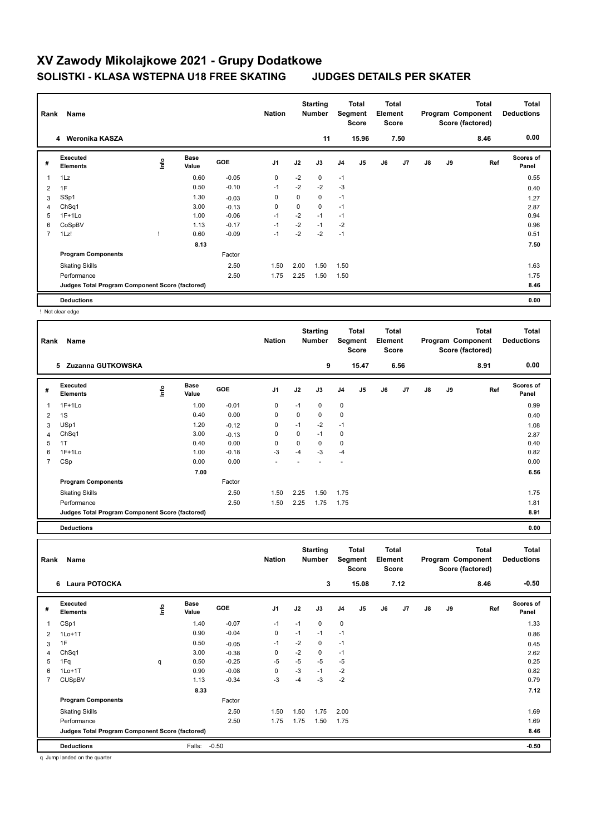|                | Name<br>Rank                                    |      |                      |         | <b>Nation</b>  |             | <b>Starting</b><br><b>Number</b> | Total<br>Segment<br><b>Score</b> |                | <b>Total</b><br>Element<br><b>Score</b> |      | Program Component<br>Score (factored) |    | <b>Total</b> | <b>Total</b><br><b>Deductions</b> |
|----------------|-------------------------------------------------|------|----------------------|---------|----------------|-------------|----------------------------------|----------------------------------|----------------|-----------------------------------------|------|---------------------------------------|----|--------------|-----------------------------------|
|                | 4 Weronika KASZA                                |      |                      |         |                |             | 11                               |                                  | 15.96          |                                         | 7.50 |                                       |    | 8.46         | 0.00                              |
| #              | <b>Executed</b><br><b>Elements</b>              | lnfo | <b>Base</b><br>Value | GOE     | J <sub>1</sub> | J2          | J3                               | J <sub>4</sub>                   | J <sub>5</sub> | J6                                      | J7   | J8                                    | J9 | Ref          | <b>Scores of</b><br>Panel         |
| 1              | 1Lz                                             |      | 0.60                 | $-0.05$ | $\mathbf 0$    | $-2$        | 0                                | $-1$                             |                |                                         |      |                                       |    |              | 0.55                              |
| 2              | 1F                                              |      | 0.50                 | $-0.10$ | $-1$           | $-2$        | $-2$                             | $-3$                             |                |                                         |      |                                       |    |              | 0.40                              |
| 3              | SSp1                                            |      | 1.30                 | $-0.03$ | 0              | $\mathbf 0$ | $\mathbf 0$                      | $-1$                             |                |                                         |      |                                       |    |              | 1.27                              |
| 4              | ChSq1                                           |      | 3.00                 | $-0.13$ | $\mathbf 0$    | $\mathbf 0$ | $\mathbf 0$                      | $-1$                             |                |                                         |      |                                       |    |              | 2.87                              |
| 5              | $1F+1Lo$                                        |      | 1.00                 | $-0.06$ | $-1$           | $-2$        | $-1$                             | $-1$                             |                |                                         |      |                                       |    |              | 0.94                              |
| 6              | CoSpBV                                          |      | 1.13                 | $-0.17$ | $-1$           | $-2$        | $-1$                             | $-2$                             |                |                                         |      |                                       |    |              | 0.96                              |
| $\overline{7}$ | 1Lz!                                            |      | 0.60                 | $-0.09$ | $-1$           | $-2$        | $-2$                             | $-1$                             |                |                                         |      |                                       |    |              | 0.51                              |
|                |                                                 |      | 8.13                 |         |                |             |                                  |                                  |                |                                         |      |                                       |    |              | 7.50                              |
|                | <b>Program Components</b>                       |      |                      | Factor  |                |             |                                  |                                  |                |                                         |      |                                       |    |              |                                   |
|                | <b>Skating Skills</b>                           |      |                      | 2.50    | 1.50           | 2.00        | 1.50                             | 1.50                             |                |                                         |      |                                       |    |              | 1.63                              |
|                | Performance                                     |      |                      | 2.50    | 1.75           | 2.25        | 1.50                             | 1.50                             |                |                                         |      |                                       |    |              | 1.75                              |
|                | Judges Total Program Component Score (factored) |      |                      |         |                |             |                                  |                                  |                |                                         |      |                                       |    |              | 8.46                              |
|                | <b>Deductions</b>                               |      |                      |         |                |             |                                  |                                  |                |                                         |      |                                       |    |              | 0.00                              |

! Not clear edge

| Rank | Name                                            |      |                      |            | <b>Nation</b>            |      | <b>Starting</b><br><b>Number</b> | Segment        | Total<br><b>Score</b> | Total<br>Element<br><b>Score</b> |      |    |    | <b>Total</b><br>Program Component<br>Score (factored) | <b>Total</b><br><b>Deductions</b> |
|------|-------------------------------------------------|------|----------------------|------------|--------------------------|------|----------------------------------|----------------|-----------------------|----------------------------------|------|----|----|-------------------------------------------------------|-----------------------------------|
|      | 5<br>Zuzanna GUTKOWSKA                          |      |                      |            |                          |      | 9                                |                | 15.47                 |                                  | 6.56 |    |    | 8.91                                                  | 0.00                              |
| #    | <b>Executed</b><br><b>Elements</b>              | lnfo | <b>Base</b><br>Value | <b>GOE</b> | J <sub>1</sub>           | J2   | J3                               | J <sub>4</sub> | J <sub>5</sub>        | J6                               | J7   | J8 | J9 | Ref                                                   | Scores of<br>Panel                |
| 1    | $1F+1Lo$                                        |      | 1.00                 | $-0.01$    | 0                        | $-1$ | 0                                | $\mathbf 0$    |                       |                                  |      |    |    |                                                       | 0.99                              |
| 2    | 1S                                              |      | 0.40                 | 0.00       | 0                        | 0    | 0                                | $\mathbf 0$    |                       |                                  |      |    |    |                                                       | 0.40                              |
| 3    | USp1                                            |      | 1.20                 | $-0.12$    | 0                        | $-1$ | $-2$                             | $-1$           |                       |                                  |      |    |    |                                                       | 1.08                              |
| 4    | ChSq1                                           |      | 3.00                 | $-0.13$    | 0                        | 0    | $-1$                             | 0              |                       |                                  |      |    |    |                                                       | 2.87                              |
| 5    | 1T                                              |      | 0.40                 | 0.00       | 0                        | 0    | 0                                | 0              |                       |                                  |      |    |    |                                                       | 0.40                              |
| 6    | $1F+1Lo$                                        |      | 1.00                 | $-0.18$    | $-3$                     | $-4$ | $-3$                             | $-4$           |                       |                                  |      |    |    |                                                       | 0.82                              |
| 7    | CSp                                             |      | 0.00                 | 0.00       | $\overline{\phantom{a}}$ |      |                                  |                |                       |                                  |      |    |    |                                                       | 0.00                              |
|      |                                                 |      | 7.00                 |            |                          |      |                                  |                |                       |                                  |      |    |    |                                                       | 6.56                              |
|      | <b>Program Components</b>                       |      |                      | Factor     |                          |      |                                  |                |                       |                                  |      |    |    |                                                       |                                   |
|      | <b>Skating Skills</b>                           |      |                      | 2.50       | 1.50                     | 2.25 | 1.50                             | 1.75           |                       |                                  |      |    |    |                                                       | 1.75                              |
|      | Performance                                     |      |                      | 2.50       | 1.50                     | 2.25 | 1.75                             | 1.75           |                       |                                  |      |    |    |                                                       | 1.81                              |
|      | Judges Total Program Component Score (factored) |      |                      |            |                          |      |                                  |                |                       |                                  |      |    |    |                                                       | 8.91                              |
|      | <b>Deductions</b>                               |      |                      |            |                          |      |                                  |                |                       |                                  |      |    |    |                                                       | 0.00                              |

|                | Name<br>Rank                                    |      |                      |            | <b>Nation</b>  |      | <b>Starting</b><br><b>Number</b> |                | <b>Total</b><br>Segment<br><b>Score</b> |    | <b>Total</b><br>Element<br><b>Score</b> |    |    | <b>Total</b><br>Program Component<br>Score (factored) | <b>Total</b><br><b>Deductions</b> |
|----------------|-------------------------------------------------|------|----------------------|------------|----------------|------|----------------------------------|----------------|-----------------------------------------|----|-----------------------------------------|----|----|-------------------------------------------------------|-----------------------------------|
|                | Laura POTOCKA<br>6                              |      |                      |            |                |      | 3                                |                | 15.08                                   |    | 7.12                                    |    |    | 8.46                                                  | $-0.50$                           |
| #              | Executed<br><b>Elements</b>                     | Info | <b>Base</b><br>Value | <b>GOE</b> | J <sub>1</sub> | J2   | J3                               | J <sub>4</sub> | J <sub>5</sub>                          | J6 | J7                                      | J8 | J9 | Ref                                                   | <b>Scores of</b><br>Panel         |
|                | CSp1                                            |      | 1.40                 | $-0.07$    | $-1$           | $-1$ | $\mathbf 0$                      | $\mathbf 0$    |                                         |    |                                         |    |    |                                                       | 1.33                              |
| 2              | $1Lo+1T$                                        |      | 0.90                 | $-0.04$    | 0              | $-1$ | $-1$                             | $-1$           |                                         |    |                                         |    |    |                                                       | 0.86                              |
| 3              | 1F                                              |      | 0.50                 | $-0.05$    | $-1$           | $-2$ | $\mathbf 0$                      | $-1$           |                                         |    |                                         |    |    |                                                       | 0.45                              |
| 4              | ChSq1                                           |      | 3.00                 | $-0.38$    | 0              | $-2$ | $\mathbf 0$                      | $-1$           |                                         |    |                                         |    |    |                                                       | 2.62                              |
| 5              | 1Fq                                             | q    | 0.50                 | $-0.25$    | $-5$           | $-5$ | $-5$                             | $-5$           |                                         |    |                                         |    |    |                                                       | 0.25                              |
| 6              | $1Lo+1T$                                        |      | 0.90                 | $-0.08$    | 0              | $-3$ | $-1$                             | $-2$           |                                         |    |                                         |    |    |                                                       | 0.82                              |
| $\overline{7}$ | <b>CUSpBV</b>                                   |      | 1.13                 | $-0.34$    | $-3$           | $-4$ | $-3$                             | $-2$           |                                         |    |                                         |    |    |                                                       | 0.79                              |
|                |                                                 |      | 8.33                 |            |                |      |                                  |                |                                         |    |                                         |    |    |                                                       | 7.12                              |
|                | <b>Program Components</b>                       |      |                      | Factor     |                |      |                                  |                |                                         |    |                                         |    |    |                                                       |                                   |
|                | <b>Skating Skills</b>                           |      |                      | 2.50       | 1.50           | 1.50 | 1.75                             | 2.00           |                                         |    |                                         |    |    |                                                       | 1.69                              |
|                | Performance                                     |      |                      | 2.50       | 1.75           | 1.75 | 1.50                             | 1.75           |                                         |    |                                         |    |    |                                                       | 1.69                              |
|                | Judges Total Program Component Score (factored) |      |                      |            |                |      |                                  |                |                                         |    |                                         |    |    |                                                       | 8.46                              |
|                | <b>Deductions</b>                               |      | Falls:               | $-0.50$    |                |      |                                  |                |                                         |    |                                         |    |    |                                                       | $-0.50$                           |

q Jump landed on the quarter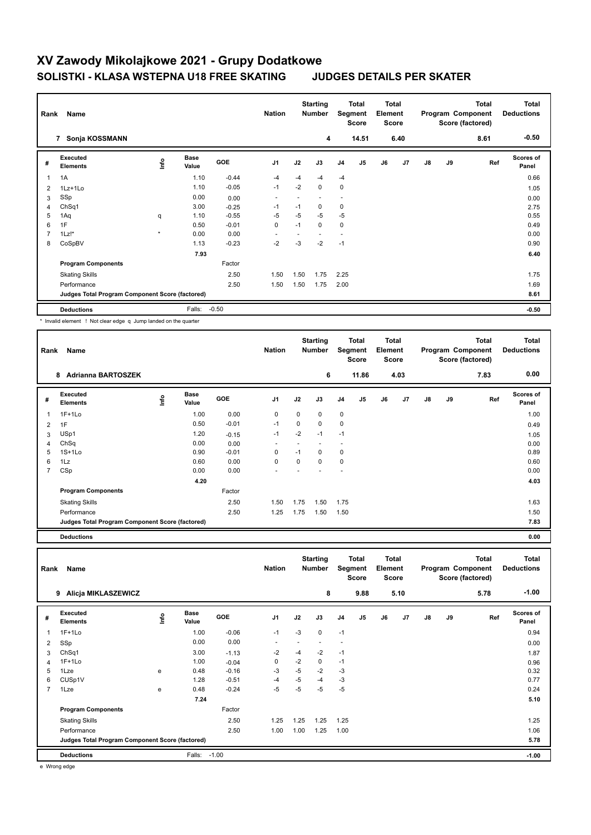| Rank | Name                                                            |         |                      |         | <b>Nation</b>  |      | <b>Starting</b><br>Number |                | <b>Total</b><br>Segment<br><b>Score</b> |    | <b>Total</b><br>Element<br><b>Score</b> |    |    | <b>Total</b><br>Program Component<br>Score (factored) | <b>Total</b><br><b>Deductions</b> |
|------|-----------------------------------------------------------------|---------|----------------------|---------|----------------|------|---------------------------|----------------|-----------------------------------------|----|-----------------------------------------|----|----|-------------------------------------------------------|-----------------------------------|
|      | 7 Sonja KOSSMANN                                                |         |                      |         |                |      | 4                         |                | 14.51                                   |    | 6.40                                    |    |    | 8.61                                                  | $-0.50$                           |
| #    | Executed<br><b>Elements</b>                                     | lnfo    | <b>Base</b><br>Value | GOE     | J <sub>1</sub> | J2   | J3                        | J <sub>4</sub> | J <sub>5</sub>                          | J6 | J7                                      | J8 | J9 | Ref                                                   | <b>Scores of</b><br>Panel         |
| 1    | 1A                                                              |         | 1.10                 | $-0.44$ | -4             | $-4$ | $-4$                      | $-4$           |                                         |    |                                         |    |    |                                                       | 0.66                              |
| 2    | 1Lz+1Lo                                                         |         | 1.10                 | $-0.05$ | $-1$           | $-2$ | 0                         | 0              |                                         |    |                                         |    |    |                                                       | 1.05                              |
| 3    | SSp                                                             |         | 0.00                 | 0.00    | ٠              |      |                           |                |                                         |    |                                         |    |    |                                                       | 0.00                              |
| 4    | ChSq1                                                           |         | 3.00                 | $-0.25$ | $-1$           | $-1$ | $\Omega$                  | 0              |                                         |    |                                         |    |    |                                                       | 2.75                              |
| 5    | 1Aq                                                             | q       | 1.10                 | $-0.55$ | -5             | $-5$ | $-5$                      | $-5$           |                                         |    |                                         |    |    |                                                       | 0.55                              |
| 6    | 1F                                                              |         | 0.50                 | $-0.01$ | $\mathbf 0$    | $-1$ | 0                         | $\mathbf 0$    |                                         |    |                                         |    |    |                                                       | 0.49                              |
| 7    | 1Lz!                                                            | $\star$ | 0.00                 | 0.00    |                |      |                           |                |                                         |    |                                         |    |    |                                                       | 0.00                              |
| 8    | CoSpBV                                                          |         | 1.13                 | $-0.23$ | $-2$           | $-3$ | $-2$                      | $-1$           |                                         |    |                                         |    |    |                                                       | 0.90                              |
|      |                                                                 |         | 7.93                 |         |                |      |                           |                |                                         |    |                                         |    |    |                                                       | 6.40                              |
|      | <b>Program Components</b>                                       |         |                      | Factor  |                |      |                           |                |                                         |    |                                         |    |    |                                                       |                                   |
|      | <b>Skating Skills</b>                                           |         |                      | 2.50    | 1.50           | 1.50 | 1.75                      | 2.25           |                                         |    |                                         |    |    |                                                       | 1.75                              |
|      | Performance                                                     |         |                      | 2.50    | 1.50           | 1.50 | 1.75                      | 2.00           |                                         |    |                                         |    |    |                                                       | 1.69                              |
|      | Judges Total Program Component Score (factored)                 |         |                      |         |                |      |                           |                |                                         |    |                                         |    |    |                                                       | 8.61                              |
|      | <b>Deductions</b>                                               |         | Falls:               | $-0.50$ |                |      |                           |                |                                         |    |                                         |    |    |                                                       | $-0.50$                           |
|      | * Invalid element ! Not clear edge q Jump landed on the quarter |         |                      |         |                |      |                           |                |                                         |    |                                         |    |    |                                                       |                                   |

**Total Deductions Total Program Component Score (factored) Total Element Score Total Segment Score Starting Rank Name Nation Number # Executed Elements Base Value GOE J1 J2 J3 J4 J5 J6 J7 J8 J9 Scores of Panel** 1 1.00 0.00 0 0 0 0 **Ref**  1F+1Lo 1.00 **Info 8 Adrianna BARTOSZEK 6 11.86 4.03 7.83 0.00** 2 1F 0.50 -0.01 -1 0 0 0 0.49 3 USp1 1.20 -0.15 -1 -2 -1 -1 1.05 4 ChSq 0.00 0.00 - - - - 0.00 5 1S+1Lo 0.90 -0.01 0 -1 0 0 0.89 6 1Lz 0.60 0.00 0 0 0 0 0.60 7 CSp 0.00 0.00 - - - - 0.00  **4.20 4.03 Program Components**  Skating Skills **1.50** 1.50 1.75 1.50 1.75 1.50 1.75 Factor 2.50 1.63 Performance 2.50 1.25 1.75 1.50 1.50 1.50 **Judges Total Program Component Score (factored) 7.83**

**Deductions 0.00**

| Rank | Name                                            |             |                      |            | <b>Nation</b>            |      | <b>Starting</b><br><b>Number</b> | Segment                  | Total<br><b>Score</b> | Total<br>Element<br><b>Score</b> |      |               |    | <b>Total</b><br>Program Component<br>Score (factored) | <b>Total</b><br><b>Deductions</b> |
|------|-------------------------------------------------|-------------|----------------------|------------|--------------------------|------|----------------------------------|--------------------------|-----------------------|----------------------------------|------|---------------|----|-------------------------------------------------------|-----------------------------------|
|      | <b>Alicja MIKLASZEWICZ</b><br>9                 |             |                      |            |                          |      | 8                                |                          | 9.88                  |                                  | 5.10 |               |    | 5.78                                                  | $-1.00$                           |
| #    | Executed<br><b>Elements</b>                     | <u>lnfo</u> | <b>Base</b><br>Value | <b>GOE</b> | J <sub>1</sub>           | J2   | J3                               | J <sub>4</sub>           | J <sub>5</sub>        | J6                               | J7   | $\mathsf{J}8$ | J9 | Ref                                                   | Scores of<br>Panel                |
|      | $1F+1Lo$                                        |             | 1.00                 | $-0.06$    | $-1$                     | $-3$ | 0                                | $-1$                     |                       |                                  |      |               |    |                                                       | 0.94                              |
| 2    | SSp                                             |             | 0.00                 | 0.00       | $\overline{\phantom{a}}$ | ٠    | $\overline{a}$                   | $\overline{\phantom{0}}$ |                       |                                  |      |               |    |                                                       | 0.00                              |
| 3    | ChSq1                                           |             | 3.00                 | $-1.13$    | $-2$                     | $-4$ | $-2$                             | $-1$                     |                       |                                  |      |               |    |                                                       | 1.87                              |
| 4    | $1F+1Lo$                                        |             | 1.00                 | $-0.04$    | 0                        | $-2$ | 0                                | $-1$                     |                       |                                  |      |               |    |                                                       | 0.96                              |
| 5    | 1Lze                                            | e           | 0.48                 | $-0.16$    | $-3$                     | $-5$ | $-2$                             | $-3$                     |                       |                                  |      |               |    |                                                       | 0.32                              |
| 6    | CUSp1V                                          |             | 1.28                 | $-0.51$    | -4                       | $-5$ | -4                               | $-3$                     |                       |                                  |      |               |    |                                                       | 0.77                              |
| 7    | 1Lze                                            | e           | 0.48                 | $-0.24$    | -5                       | $-5$ | $-5$                             | $-5$                     |                       |                                  |      |               |    |                                                       | 0.24                              |
|      |                                                 |             | 7.24                 |            |                          |      |                                  |                          |                       |                                  |      |               |    |                                                       | 5.10                              |
|      | <b>Program Components</b>                       |             |                      | Factor     |                          |      |                                  |                          |                       |                                  |      |               |    |                                                       |                                   |
|      | <b>Skating Skills</b>                           |             |                      | 2.50       | 1.25                     | 1.25 | 1.25                             | 1.25                     |                       |                                  |      |               |    |                                                       | 1.25                              |
|      | Performance                                     |             |                      | 2.50       | 1.00                     | 1.00 | 1.25                             | 1.00                     |                       |                                  |      |               |    |                                                       | 1.06                              |
|      | Judges Total Program Component Score (factored) |             |                      |            |                          |      |                                  |                          |                       |                                  |      |               |    |                                                       | 5.78                              |
|      | <b>Deductions</b>                               |             | Falls:               | $-1.00$    |                          |      |                                  |                          |                       |                                  |      |               |    |                                                       | $-1.00$                           |

e Wrong edge